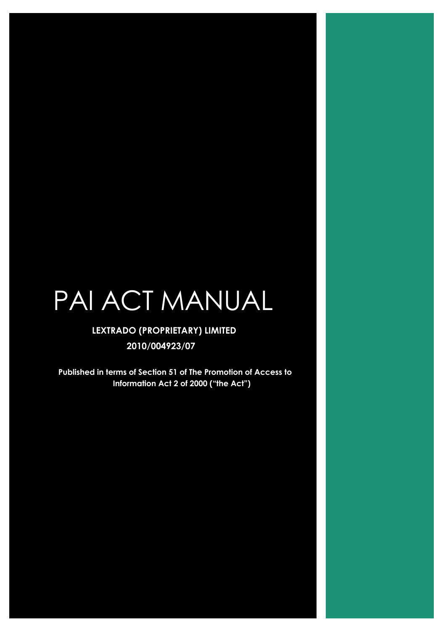# PAI ACT MANUAL

# **LEXTRADO (PROPRIETARY) LIMITED 2010/004923/07**

**Published in terms of Section 51 of The Promotion of Access to Information Act 2 of 2000 ("the Act")**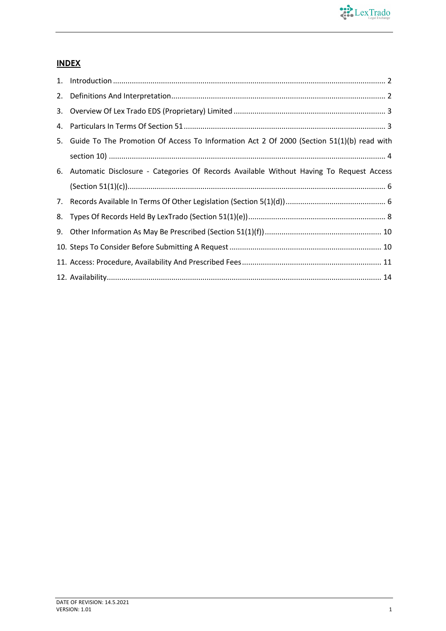

# **INDEX**

| 5. Guide To The Promotion Of Access To Information Act 2 Of 2000 (Section 51(1)(b) read with |
|----------------------------------------------------------------------------------------------|
|                                                                                              |
| 6. Automatic Disclosure - Categories Of Records Available Without Having To Request Access   |
|                                                                                              |
|                                                                                              |
|                                                                                              |
|                                                                                              |
|                                                                                              |
|                                                                                              |
|                                                                                              |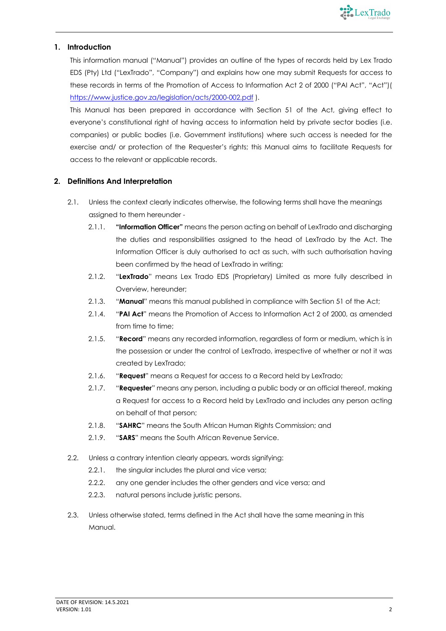

# **1. Introduction**

This information manual ("Manual") provides an outline of the types of records held by Lex Trado EDS (Pty) Ltd ("LexTrado", "Company") and explains how one may submit Requests for access to these records in terms of the Promotion of Access to Information Act 2 of 2000 ("PAI Act", "Act")( https://www.justice.gov.za/legislation/acts/2000-002.pdf ).

This Manual has been prepared in accordance with Section 51 of the Act, giving effect to everyone's constitutional right of having access to information held by private sector bodies (i.e. companies) or public bodies (i.e. Government institutions) where such access is needed for the exercise and/ or protection of the Requester's rights; this Manual aims to facilitate Requests for access to the relevant or applicable records.

# **2. Definitions And Interpretation**

- 2.1. Unless the context clearly indicates otherwise, the following terms shall have the meanings assigned to them hereunder -
	- 2.1.1. **"Information Officer"** means the person acting on behalf of LexTrado and discharging the duties and responsibilities assigned to the head of LexTrado by the Act. The Information Officer is duly authorised to act as such, with such authorisation having been confirmed by the head of LexTrado in writing;
	- 2.1.2. "**LexTrado**" means Lex Trado EDS (Proprietary) Limited as more fully described in Overview, hereunder;
	- 2.1.3. "**Manual**" means this manual published in compliance with Section 51 of the Act;
	- 2.1.4. "**PAI Act**" means the Promotion of Access to Information Act 2 of 2000, as amended from time to time:
	- 2.1.5. "**Record**" means any recorded information, regardless of form or medium, which is in the possession or under the control of LexTrado, irrespective of whether or not it was created by LexTrado;
	- 2.1.6. "**Request**" means a Request for access to a Record held by LexTrado;
	- 2.1.7. "**Requester**" means any person, including a public body or an official thereof, making a Request for access to a Record held by LexTrado and includes any person acting on behalf of that person;
	- 2.1.8. "**SAHRC**" means the South African Human Rights Commission; and
	- 2.1.9. "**SARS**" means the South African Revenue Service.
- 2.2. Unless a contrary intention clearly appears, words signifying:
	- 2.2.1. the singular includes the plural and vice versa;
	- 2.2.2. any one gender includes the other genders and vice versa; and
	- 2.2.3. natural persons include juristic persons.
- 2.3. Unless otherwise stated, terms defined in the Act shall have the same meaning in this Manual.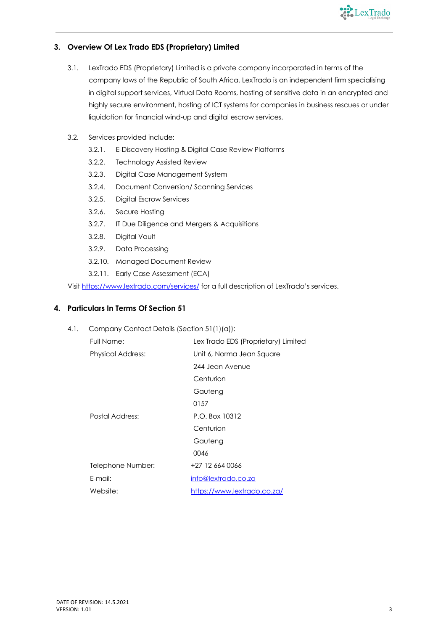

# **3. Overview Of Lex Trado EDS (Proprietary) Limited**

- 3.1. LexTrado EDS (Proprietary) Limited is a private company incorporated in terms of the company laws of the Republic of South Africa. LexTrado is an independent firm specialising in digital support services, Virtual Data Rooms, hosting of sensitive data in an encrypted and highly secure environment, hosting of ICT systems for companies in business rescues or under liquidation for financial wind-up and digital escrow services.
- 3.2. Services provided include:
	- 3.2.1. E-Discovery Hosting & Digital Case Review Platforms
	- 3.2.2. Technology Assisted Review
	- 3.2.3. Digital Case Management System
	- 3.2.4. Document Conversion/ Scanning Services
	- 3.2.5. Digital Escrow Services
	- 3.2.6. Secure Hosting
	- 3.2.7. IT Due Diligence and Mergers & Acquisitions
	- 3.2.8. Digital Vault
	- 3.2.9. Data Processing
	- 3.2.10. Managed Document Review
	- 3.2.11. Early Case Assessment (ECA)

Visit https://www.lextrado.com/services/ for a full description of LexTrado's services.

# **4. Particulars In Terms Of Section 51**

4.1. Company Contact Details (Section 51(1)(a)):

| Full Name:               | Lex Trado EDS (Proprietary) Limited |  |  |  |  |  |
|--------------------------|-------------------------------------|--|--|--|--|--|
| <b>Physical Address:</b> | Unit 6, Norma Jean Square           |  |  |  |  |  |
|                          | 244 Jean Avenue                     |  |  |  |  |  |
|                          | Centurion                           |  |  |  |  |  |
|                          | Gauteng                             |  |  |  |  |  |
|                          | 0157                                |  |  |  |  |  |
| Postal Address:          | P.O. Box 10312                      |  |  |  |  |  |
|                          | Centurion                           |  |  |  |  |  |
|                          | Gauteng                             |  |  |  |  |  |
|                          | 0046                                |  |  |  |  |  |
| Telephone Number:        | +27 12 664 0066                     |  |  |  |  |  |
| E-mail:                  | info@lextrado.co.za                 |  |  |  |  |  |
| Website:                 | https://www.lextrado.co.za/         |  |  |  |  |  |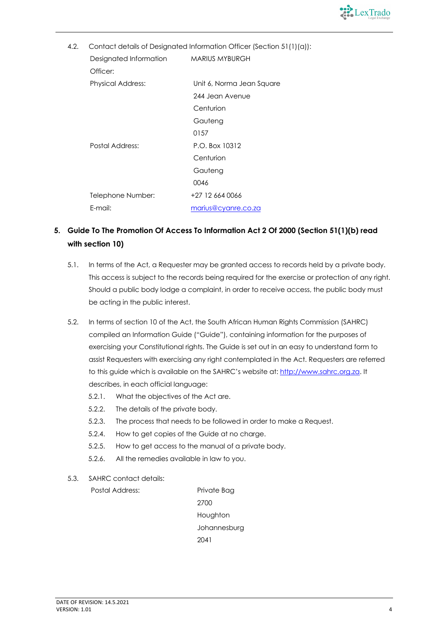

| 4.2. | Contact details of Designated Information Officer (Section 51(1)(a)): |                           |  |  |  |  |  |  |  |
|------|-----------------------------------------------------------------------|---------------------------|--|--|--|--|--|--|--|
|      | Designated Information                                                | <b>MARIUS MYBURGH</b>     |  |  |  |  |  |  |  |
|      | Officer:                                                              |                           |  |  |  |  |  |  |  |
|      | <b>Physical Address:</b>                                              | Unit 6, Norma Jean Square |  |  |  |  |  |  |  |
|      |                                                                       | 244 Jean Avenue           |  |  |  |  |  |  |  |
|      |                                                                       | Centurion                 |  |  |  |  |  |  |  |
|      |                                                                       | Gauteng                   |  |  |  |  |  |  |  |
|      |                                                                       | 0157                      |  |  |  |  |  |  |  |
|      | Postal Address:                                                       | P.O. Box 10312            |  |  |  |  |  |  |  |
|      |                                                                       | Centurion                 |  |  |  |  |  |  |  |
|      |                                                                       | Gauteng                   |  |  |  |  |  |  |  |
|      |                                                                       | 0046                      |  |  |  |  |  |  |  |
|      | Telephone Number:                                                     | +27 12 664 0066           |  |  |  |  |  |  |  |
|      | E-mail:                                                               | marius@cyanre.co.za       |  |  |  |  |  |  |  |

# **5. Guide To The Promotion Of Access To Information Act 2 Of 2000 (Section 51(1)(b) read with section 10)**

- 5.1. In terms of the Act, a Requester may be granted access to records held by a private body. This access is subject to the records being required for the exercise or protection of any right. Should a public body lodge a complaint, in order to receive access, the public body must be acting in the public interest.
- 5.2. In terms of section 10 of the Act, the South African Human Rights Commission (SAHRC) compiled an Information Guide ("Guide"), containing information for the purposes of exercising your Constitutional rights. The Guide is set out in an easy to understand form to assist Requesters with exercising any right contemplated in the Act. Requesters are referred to this guide which is available on the SAHRC's website at: http://www.sahrc.org.za. It describes, in each official language:
	- 5.2.1. What the objectives of the Act are.
	- 5.2.2. The details of the private body.
	- 5.2.3. The process that needs to be followed in order to make a Request.
	- 5.2.4. How to get copies of the Guide at no charge.
	- 5.2.5. How to get access to the manual of a private body.
	- 5.2.6. All the remedies available in law to you.
- 5.3. SAHRC contact details:

Postal Address: Private Bag 2700 Houghton Johannesburg 2041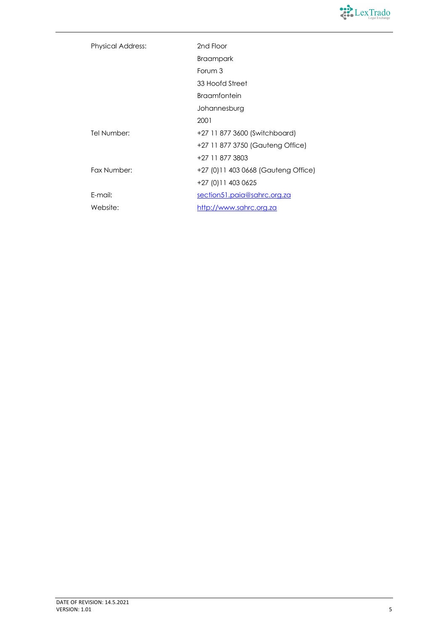

| <b>Physical Address:</b> | 2nd Floor                            |
|--------------------------|--------------------------------------|
|                          | <b>Braampark</b>                     |
|                          | Forum 3                              |
|                          | 33 Hoofd Street                      |
|                          | <b>Braamfontein</b>                  |
|                          | Johannesburg                         |
|                          | 2001                                 |
| Tel Number:              | +27 11 877 3600 (Switchboard)        |
|                          | +27 11 877 3750 (Gauteng Office)     |
|                          | +27 11 877 3803                      |
| Fax Number:              | +27 (0) 11 403 0668 (Gauteng Office) |
|                          | +27 (0) 11 403 0625                  |
| E-mail:                  | section51.paia@sahrc.org.za          |
| Website:                 | http://www.sahrc.org.za              |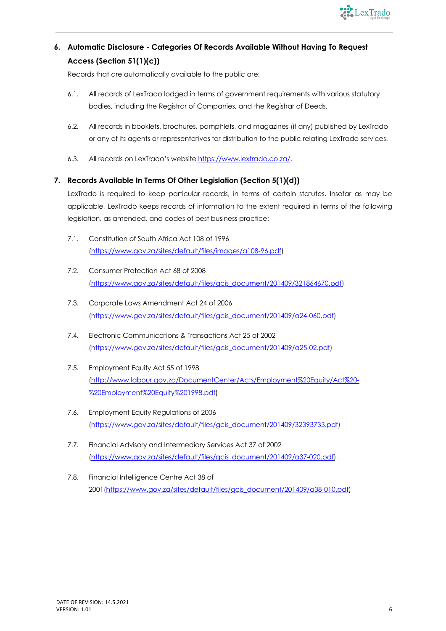

# **6. Automatic Disclosure - Categories Of Records Available Without Having To Request Access (Section 51(1)(c))**

Records that are automatically available to the public are:

- 6.1. All records of LexTrado lodged in terms of government requirements with various statutory bodies, including the Registrar of Companies, and the Registrar of Deeds.
- 6.2. All records in booklets, brochures, pamphlets, and magazines (if any) published by LexTrado or any of its agents or representatives for distribution to the public relating LexTrado services.
- 6.3. All records on LexTrado's website https://www.lextrado.co.za/.

# **7. Records Available In Terms Of Other Legislation (Section 5(1)(d))**

LexTrado is required to keep particular records, in terms of certain statutes. Insofar as may be applicable, LexTrado keeps records of information to the extent required in terms of the following legislation, as amended, and codes of best business practice:

- 7.1. Constitution of South Africa Act 108 of 1996 (https://www.gov.za/sites/default/files/images/a108-96.pdf)
- 7.2. Consumer Protection Act 68 of 2008 (https://www.gov.za/sites/default/files/gcis\_document/201409/321864670.pdf)
- 7.3. Corporate Laws Amendment Act 24 of 2006 (https://www.gov.za/sites/default/files/gcis\_document/201409/a24-060.pdf)
- 7.4. Electronic Communications & Transactions Act 25 of 2002 (https://www.gov.za/sites/default/files/gcis\_document/201409/a25-02.pdf)
- 7.5. Employment Equity Act 55 of 1998 (http://www.labour.gov.za/DocumentCenter/Acts/Employment%20Equity/Act%20- %20Employment%20Equity%201998.pdf)
- 7.6. Employment Equity Regulations of 2006 (https://www.gov.za/sites/default/files/gcis\_document/201409/32393733.pdf)
- 7.7. Financial Advisory and Intermediary Services Act 37 of 2002 (https://www.gov.za/sites/default/files/gcis\_document/201409/a37-020.pdf) .
- 7.8. Financial Intelligence Centre Act 38 of 2001(https://www.gov.za/sites/default/files/gcis\_document/201409/a38-010.pdf)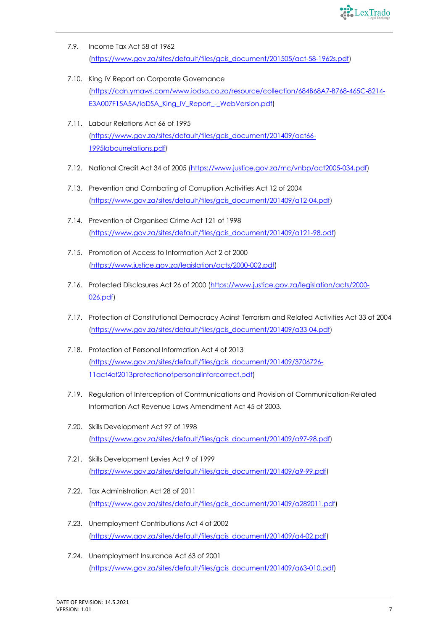

- 7.9. Income Tax Act 58 of 1962 (https://www.gov.za/sites/default/files/gcis\_document/201505/act-58-1962s.pdf)
- 7.10. King IV Report on Corporate Governance (https://cdn.ymaws.com/www.iodsa.co.za/resource/collection/684B68A7-B768-465C-8214- E3A007F15A5A/IoDSA\_King\_IV\_Report\_-\_WebVersion.pdf)
- 7.11. Labour Relations Act 66 of 1995 (https://www.gov.za/sites/default/files/gcis\_document/201409/act66- 1995labourrelations.pdf)
- 7.12. National Credit Act 34 of 2005 (https://www.justice.gov.za/mc/vnbp/act2005-034.pdf)
- 7.13. Prevention and Combating of Corruption Activities Act 12 of 2004 (https://www.gov.za/sites/default/files/gcis\_document/201409/a12-04.pdf)
- 7.14. Prevention of Organised Crime Act 121 of 1998 (https://www.gov.za/sites/default/files/gcis\_document/201409/a121-98.pdf)
- 7.15. Promotion of Access to Information Act 2 of 2000 (https://www.justice.gov.za/legislation/acts/2000-002.pdf)
- 7.16. Protected Disclosures Act 26 of 2000 (https://www.justice.gov.za/legislation/acts/2000-026.pdf)
- 7.17. Protection of Constitutional Democracy Aainst Terrorism and Related Activities Act 33 of 2004 (https://www.gov.za/sites/default/files/gcis\_document/201409/a33-04.pdf)
- 7.18. Protection of Personal Information Act 4 of 2013 (https://www.gov.za/sites/default/files/gcis\_document/201409/3706726- 11act4of2013protectionofpersonalinforcorrect.pdf)
- 7.19. Regulation of Interception of Communications and Provision of Communication-Related Information Act Revenue Laws Amendment Act 45 of 2003.
- 7.20. Skills Development Act 97 of 1998 (https://www.gov.za/sites/default/files/gcis\_document/201409/a97-98.pdf)
- 7.21. Skills Development Levies Act 9 of 1999 (https://www.gov.za/sites/default/files/gcis\_document/201409/a9-99.pdf)
- 7.22. Tax Administration Act 28 of 2011 (https://www.gov.za/sites/default/files/gcis\_document/201409/a282011.pdf)
- 7.23. Unemployment Contributions Act 4 of 2002 (https://www.gov.za/sites/default/files/gcis\_document/201409/a4-02.pdf)
- 7.24. Unemployment Insurance Act 63 of 2001 (https://www.gov.za/sites/default/files/gcis\_document/201409/a63-010.pdf)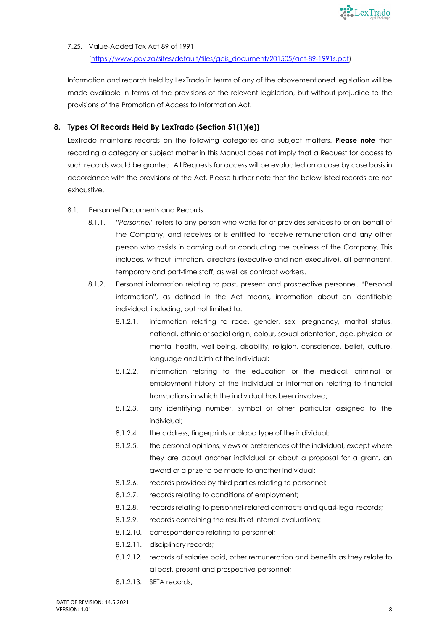

# 7.25. Value-Added Tax Act 89 of 1991

(https://www.gov.za/sites/default/files/gcis\_document/201505/act-89-1991s.pdf)

Information and records held by LexTrado in terms of any of the abovementioned legislation will be made available in terms of the provisions of the relevant legislation, but without prejudice to the provisions of the Promotion of Access to Information Act.

# **8. Types Of Records Held By LexTrado (Section 51(1)(e))**

LexTrado maintains records on the following categories and subject matters. **Please note** that recording a category or subject matter in this Manual does not imply that a Request for access to such records would be granted. All Requests for access will be evaluated on a case by case basis in accordance with the provisions of the Act. Please further note that the below listed records are not exhaustive.

- 8.1. Personnel Documents and Records.
	- 8.1.1. "*Personnel*" refers to any person who works for or provides services to or on behalf of the Company, and receives or is entitled to receive remuneration and any other person who assists in carrying out or conducting the business of the Company. This includes, without limitation, directors (executive and non-executive), all permanent, temporary and part-time staff, as well as contract workers.
	- 8.1.2. Personal information relating to past, present and prospective personnel. "Personal information", as defined in the Act means, information about an identifiable individual, including, but not limited to:
		- 8.1.2.1. information relating to race, gender, sex, pregnancy, marital status, national, ethnic or social origin, colour, sexual orientation, age, physical or mental health, well-being, disability, religion, conscience, belief, culture, language and birth of the individual;
		- 8.1.2.2. information relating to the education or the medical, criminal or employment history of the individual or information relating to financial transactions in which the individual has been involved;
		- 8.1.2.3. any identifying number, symbol or other particular assigned to the individual;
		- 8.1.2.4. the address, fingerprints or blood type of the individual;
		- 8.1.2.5. the personal opinions, views or preferences of the individual, except where they are about another individual or about a proposal for a grant, an award or a prize to be made to another individual;
		- 8.1.2.6. records provided by third parties relating to personnel;
		- 8.1.2.7. records relating to conditions of employment;
		- 8.1.2.8. records relating to personnel-related contracts and quasi-legal records;
		- 8.1.2.9. records containing the results of internal evaluations;
		- 8.1.2.10. correspondence relating to personnel;
		- 8.1.2.11. disciplinary records;
		- 8.1.2.12. records of salaries paid, other remuneration and benefits as they relate to al past, present and prospective personnel;
		- 8.1.2.13. SETA records;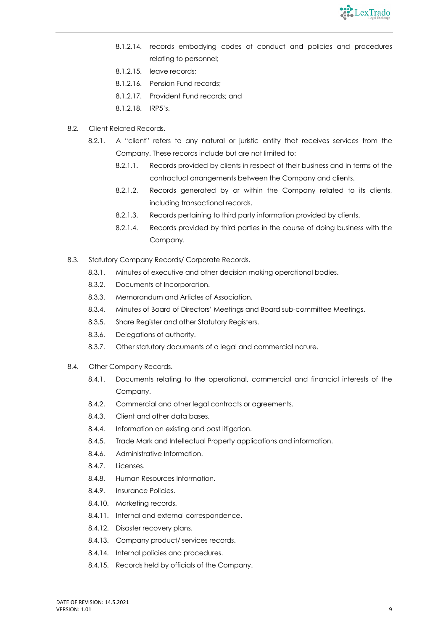

- 8.1.2.14. records embodying codes of conduct and policies and procedures relating to personnel;
- 8.1.2.15. leave records;
- 8.1.2.16. Pension Fund records;
- 8.1.2.17. Provident Fund records; and
- 8.1.2.18. IRP5's.
- 8.2. Client Related Records.
	- 8.2.1. A "client" refers to any natural or juristic entity that receives services from the Company. These records include but are not limited to:
		- 8.2.1.1. Records provided by clients in respect of their business and in terms of the contractual arrangements between the Company and clients.
		- 8.2.1.2. Records generated by or within the Company related to its clients, including transactional records.
		- 8.2.1.3. Records pertaining to third party information provided by clients.
		- 8.2.1.4. Records provided by third parties in the course of doing business with the Company.
- 8.3. Statutory Company Records/ Corporate Records.
	- 8.3.1. Minutes of executive and other decision making operational bodies.
	- 8.3.2. Documents of Incorporation.
	- 8.3.3. Memorandum and Articles of Association.
	- 8.3.4. Minutes of Board of Directors' Meetings and Board sub-committee Meetings.
	- 8.3.5. Share Register and other Statutory Registers.
	- 8.3.6. Delegations of authority.
	- 8.3.7. Other statutory documents of a legal and commercial nature.
- 8.4. Other Company Records.
	- 8.4.1. Documents relating to the operational, commercial and financial interests of the Company.
	- 8.4.2. Commercial and other legal contracts or agreements.
	- 8.4.3. Client and other data bases.
	- 8.4.4. Information on existing and past litigation.
	- 8.4.5. Trade Mark and Intellectual Property applications and information.
	- 8.4.6. Administrative Information.
	- 8.4.7. Licenses.
	- 8.4.8. Human Resources Information.
	- 8.4.9. Insurance Policies.
	- 8.4.10. Marketing records.
	- 8.4.11. Internal and external correspondence.
	- 8.4.12. Disaster recovery plans.
	- 8.4.13. Company product/ services records.
	- 8.4.14. Internal policies and procedures.
	- 8.4.15. Records held by officials of the Company.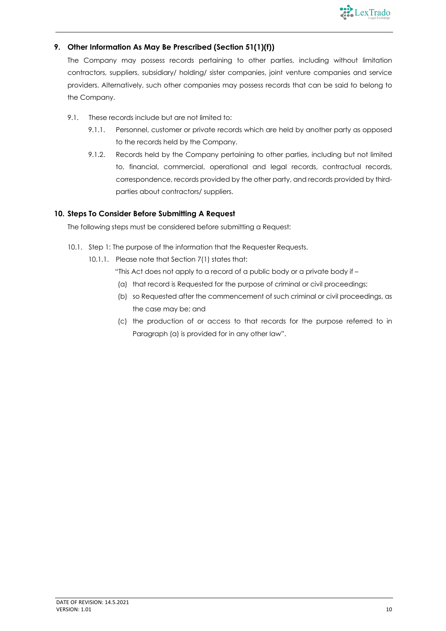

# **9. Other Information As May Be Prescribed (Section 51(1)(f))**

The Company may possess records pertaining to other parties, including without limitation contractors, suppliers, subsidiary/ holding/ sister companies, joint venture companies and service providers. Alternatively, such other companies may possess records that can be said to belong to the Company.

- 9.1. These records include but are not limited to:
	- 9.1.1. Personnel, customer or private records which are held by another party as opposed to the records held by the Company.
	- 9.1.2. Records held by the Company pertaining to other parties, including but not limited to, financial, commercial, operational and legal records, contractual records, correspondence, records provided by the other party, and records provided by thirdparties about contractors/ suppliers.

# **10. Steps To Consider Before Submitting A Request**

The following steps must be considered before submitting a Request:

- 10.1. Step 1: The purpose of the information that the Requester Requests.
	- 10.1.1. Please note that Section 7(1) states that:
		- "This Act does not apply to a record of a public body or a private body if –
		- (a) that record is Requested for the purpose of criminal or civil proceedings;
		- (b) so Requested after the commencement of such criminal or civil proceedings, as the case may be; and
		- (c) the production of or access to that records for the purpose referred to in Paragraph (a) is provided for in any other law".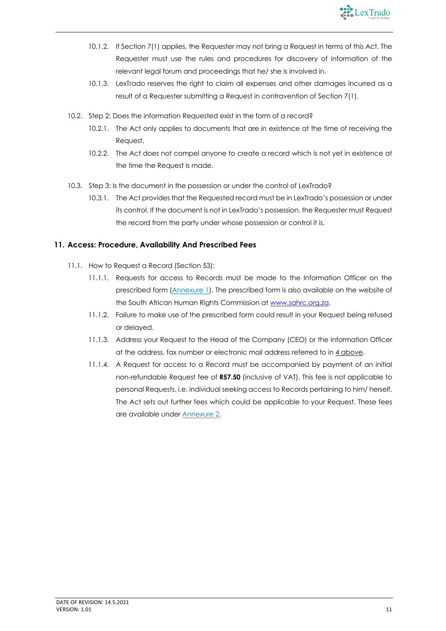

- 10.1.2. If Section 7(1) applies, the Requester may not bring a Request in terms of this Act. The Requester must use the rules and procedures for discovery of information of the relevant legal forum and proceedings that he/ she is involved in.
- 10.1.3. LexTrado reserves the right to claim all expenses and other damages incurred as a result of a Requester submitting a Request in contravention of Section 7(1).
- 10.2. Step 2: Does the information Requested exist in the form of a record?
	- 10.2.1. The Act only applies to documents that are in existence at the time of receiving the Request.
	- 10.2.2. The Act does not compel anyone to create a record which is not yet in existence at the time the Request is made.
- 10.3. Step 3: Is the document in the possession or under the control of LexTrado?
	- 10.3.1. The Act provides that the Requested record must be in LexTrado's possession or under its control. If the document is not in LexTrado's possession, the Requester must Request the record from the party under whose possession or control it is.

# **11. Access: Procedure, Availability And Prescribed Fees**

- 11.1. How to Request a Record (Section 53):
	- 11.1.1. Requests for access to Records must be made to the Information Officer on the prescribed form (Annexure 1). The prescribed form is also available on the website of the South African Human Rights Commission at www.sahrc.org.za.
	- 11.1.2. Failure to make use of the prescribed form could result in your Request being refused or delayed.
	- 11.1.3. Address your Request to the Head of the Company (CEO) or the Information Officer at the address, fax number or electronic mail address referred to in 4 above.
	- 11.1.4. A Request for access to a Record must be accompanied by payment of an initial non-refundable Request fee of **R57.50** (inclusive of VAT). This fee is not applicable to personal Requests, i.e. individual seeking access to Records pertaining to him/ herself. The Act sets out further fees which could be applicable to your Request. These fees are available under Annexure 2.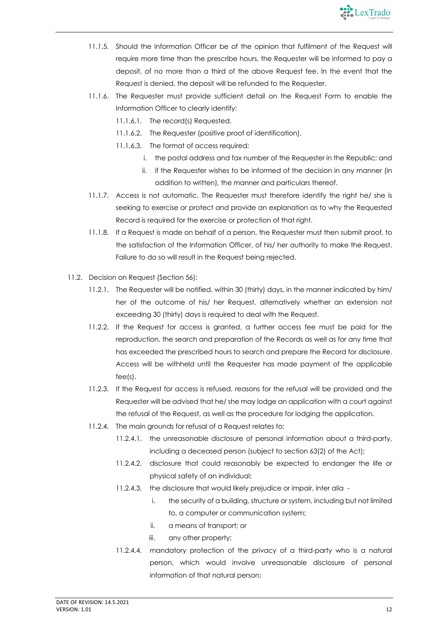

- 11.1.5. Should the Information Officer be of the opinion that fulfilment of the Request will require more time than the prescribe hours, the Requester will be informed to pay a deposit, of no more than a third of the above Request fee. In the event that the Request is denied, the deposit will be refunded to the Requester.
- 11.1.6. The Requester must provide sufficient detail on the Request Form to enable the Information Officer to clearly identify:
	- 11.1.6.1. The record(s) Requested.
	- 11.1.6.2. The Requester (positive proof of identification).
	- 11.1.6.3. The format of access required:
		- i. the postal address and fax number of the Requester in the Republic; and
		- ii. if the Requester wishes to be informed of the decision in any manner (in addition to written), the manner and particulars thereof.
- 11.1.7. Access is not automatic. The Requester must therefore identify the right he/ she is seeking to exercise or protect and provide an explanation as to why the Requested Record is required for the exercise or protection of that right.
- 11.1.8. If a Request is made on behalf of a person, the Requester must then submit proof, to the satisfaction of the Information Officer, of his/ her authority to make the Request. Failure to do so will result in the Request being rejected.
- 11.2. Decision on Request (Section 56):
	- 11.2.1. The Requester will be notified, within 30 (thirty) days, in the manner indicated by him/ her of the outcome of his/ her Request, alternatively whether an extension not exceeding 30 (thirty) days is required to deal with the Request.
	- 11.2.2. If the Request for access is granted, a further access fee must be paid for the reproduction, the search and preparation of the Records as well as for any time that has exceeded the prescribed hours to search and prepare the Record for disclosure. Access will be withheld until the Requester has made payment of the applicable fee(s).
	- 11.2.3. If the Request for access is refused, reasons for the refusal will be provided and the Requester will be advised that he/ she may lodge an application with a court against the refusal of the Request, as well as the procedure for lodging the application.
	- 11.2.4. The main grounds for refusal of a Request relates to:
		- 11.2.4.1. the unreasonable disclosure of personal information about a third-party, including a deceased person (subject to section 63(2) of the Act);
		- 11.2.4.2. disclosure that could reasonably be expected to endanger the life or physical safety of an individual;
		- 11.2.4.3. the disclosure that would likely prejudice or impair, inter alia
			- i. the security of a building, structure or system, including but not limited to, a computer or communication system;
			- ii. a means of transport; or
			- iii. any other property;
		- 11.2.4.4. mandatory protection of the privacy of a third-party who is a natural person, which would involve unreasonable disclosure of personal information of that natural person;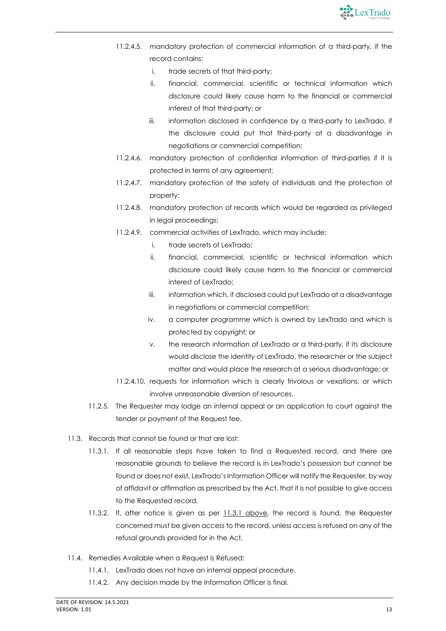

- 11.2.4.5. mandatory protection of commercial information of a third-party, if the record contains:
	- i. trade secrets of that third-party;
	- ii. financial, commercial, scientific or technical information which disclosure could likely cause harm to the financial or commercial interest of that third-party; or
	- iii. information disclosed in confidence by a third-party to LexTrado, if the disclosure could put that third-party at a disadvantage in negotiations or commercial competition;
- 11.2.4.6. mandatory protection of confidential information of third-parties if it is protected in terms of any agreement;
- 11.2.4.7. mandatory protection of the safety of individuals and the protection of property;
- 11.2.4.8. mandatory protection of records which would be regarded as privileged in legal proceedings;
- 11.2.4.9. commercial activities of LexTrado, which may include:
	- i. trade secrets of LexTrado;
	- ii. financial, commercial, scientific or technical information which disclosure could likely cause harm to the financial or commercial interest of LexTrado;
	- iii. information which, if disclosed could put LexTrado at a disadvantage in negotiations or commercial competition;
	- iv. a computer programme which is owned by LexTrado and which is protected by copyright; or
	- v. the research information of LexTrado or a third-party, if its disclosure would disclose the identity of LexTrado, the researcher or the subject matter and would place the research at a serious disadvantage; or
- 11.2.4.10. requests for information which is clearly frivolous or vexations, or which involve unreasonable diversion of resources.
- 11.2.5. The Requester may lodge an internal appeal or an application to court against the tender or payment of the Request fee.
- 11.3. Records that cannot be found or that are lost:
	- 11.3.1. If all reasonable steps have taken to find a Requested record, and there are reasonable grounds to believe the record is in LexTrado's possession but cannot be found or does not exist, LexTrado's Information Officer will notify the Requester, by way of affidavit or affirmation as prescribed by the Act, that it is not possible to give access to the Requested record.
	- 11.3.2. If, after notice is given as per 11.3.1 above, the record is found, the Requester concerned must be given access to the record, unless access is refused on any of the refusal grounds provided for in the Act.
- 11.4. Remedies Available when a Request is Refused:
	- 11.4.1. LexTrado does not have an internal appeal procedure.
	- 11.4.2. Any decision made by the Information Officer is final.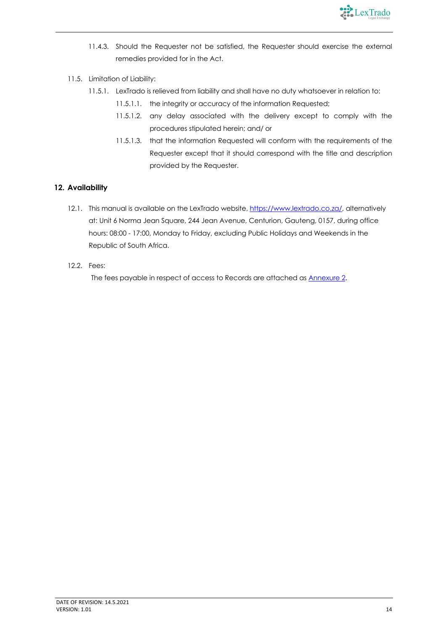

- 11.4.3. Should the Requester not be satisfied, the Requester should exercise the external remedies provided for in the Act.
- 11.5. Limitation of Liability:
	- 11.5.1. LexTrado is relieved from liability and shall have no duty whatsoever in relation to:
		- 11.5.1.1. the integrity or accuracy of the information Requested;
		- 11.5.1.2. any delay associated with the delivery except to comply with the procedures stipulated herein; and/ or
		- 11.5.1.3. that the information Requested will conform with the requirements of the Requester except that it should correspond with the title and description provided by the Requester.

# **12. Availability**

- 12.1. This manual is available on the LexTrado website, https://www.lextrado.co.za/, alternatively at: Unit 6 Norma Jean Square, 244 Jean Avenue, Centurion, Gauteng, 0157, during office hours: 08:00 - 17:00, Monday to Friday, excluding Public Holidays and Weekends in the Republic of South Africa.
- 12.2. Fees:

The fees payable in respect of access to Records are attached as Annexure 2.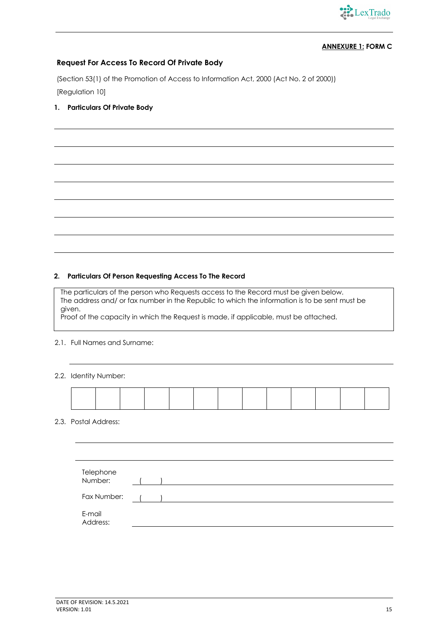

# **ANNEXURE 1: FORM C**

# **Request For Access To Record Of Private Body**

(Section 53(1) of the Promotion of Access to Information Act, 2000 (Act No. 2 of 2000)) [Regulation 10]

# **1. Particulars Of Private Body**

#### **2. Particulars Of Person Requesting Access To The Record**

The particulars of the person who Requests access to the Record must be given below. The address and/ or fax number in the Republic to which the information is to be sent must be given.

Proof of the capacity in which the Request is made, if applicable, must be attached.

#### 2.1. Full Names and Surname:

#### 2.2. Identity Number:

# 2.3. Postal Address:

| Telephone<br>Number: |
|----------------------|
| Fax Number:          |
| E-mail<br>Address:   |
|                      |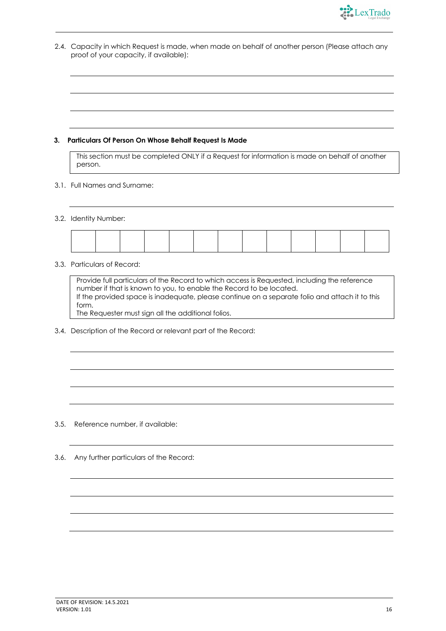

2.4. Capacity in which Request is made, when made on behalf of another person (Please attach any proof of your capacity, if available):

#### **3. Particulars Of Person On Whose Behalf Request Is Made**

This section must be completed ONLY if a Request for information is made on behalf of another person.

- 3.1. Full Names and Surname:
- 3.2. Identity Number:

#### 3.3. Particulars of Record:

Provide full particulars of the Record to which access is Requested, including the reference number if that is known to you, to enable the Record to be located. If the provided space is inadequate, please continue on a separate folio and attach it to this form. The Requester must sign all the additional folios.

3.4. Description of the Record or relevant part of the Record:

- 3.5. Reference number, if available:
- 3.6. Any further particulars of the Record: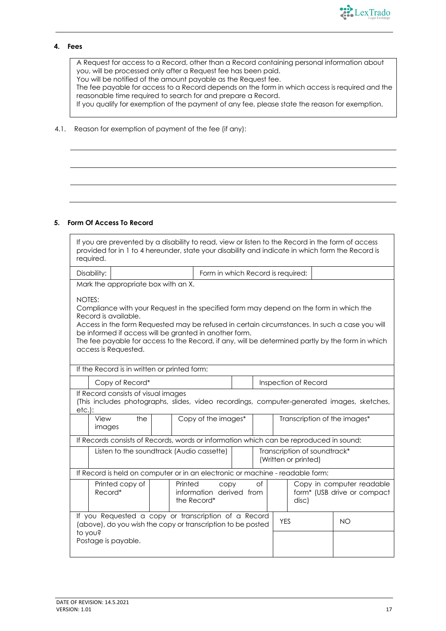

#### **4. Fees**

A Request for access to a Record, other than a Record containing personal information about you, will be processed only after a Request fee has been paid. You will be notified of the amount payable as the Request fee. The fee payable for access to a Record depends on the form in which access is required and the

reasonable time required to search for and prepare a Record.

If you qualify for exemption of the payment of any fee, please state the reason for exemption.

#### 4.1. Reason for exemption of payment of the fee (if any):

#### **5. Form Of Access To Record**

| If you are prevented by a disability to read, view or listen to the Record in the form of access<br>provided for in 1 to 4 hereunder, state your disability and indicate in which form the Record is<br>required. |                                                                                                                                                                                                                                                                                                                                                                                                                 |  |                                   |  |  |            |                              |                                                                                            |
|-------------------------------------------------------------------------------------------------------------------------------------------------------------------------------------------------------------------|-----------------------------------------------------------------------------------------------------------------------------------------------------------------------------------------------------------------------------------------------------------------------------------------------------------------------------------------------------------------------------------------------------------------|--|-----------------------------------|--|--|------------|------------------------------|--------------------------------------------------------------------------------------------|
| Disability:                                                                                                                                                                                                       |                                                                                                                                                                                                                                                                                                                                                                                                                 |  | Form in which Record is required: |  |  |            |                              |                                                                                            |
|                                                                                                                                                                                                                   | Mark the appropriate box with an X.                                                                                                                                                                                                                                                                                                                                                                             |  |                                   |  |  |            |                              |                                                                                            |
|                                                                                                                                                                                                                   | NOTES:<br>Compliance with your Request in the specified form may depend on the form in which the<br>Record is available.<br>Access in the form Requested may be refused in certain circumstances. In such a case you will<br>be informed if access will be granted in another form.<br>The fee payable for access to the Record, if any, will be determined partly by the form in which<br>access is Requested. |  |                                   |  |  |            |                              |                                                                                            |
|                                                                                                                                                                                                                   | If the Record is in written or printed form:                                                                                                                                                                                                                                                                                                                                                                    |  |                                   |  |  |            |                              |                                                                                            |
|                                                                                                                                                                                                                   | Copy of Record*                                                                                                                                                                                                                                                                                                                                                                                                 |  |                                   |  |  |            | Inspection of Record         |                                                                                            |
| $etc.$ :                                                                                                                                                                                                          | If Record consists of visual images                                                                                                                                                                                                                                                                                                                                                                             |  |                                   |  |  |            |                              | (This includes photographs, slides, video recordings, computer-generated images, sketches, |
|                                                                                                                                                                                                                   | View<br>the<br>images                                                                                                                                                                                                                                                                                                                                                                                           |  | Copy of the images*               |  |  |            | Transcription of the images* |                                                                                            |
|                                                                                                                                                                                                                   | If Records consists of Records, words or information which can be reproduced in sound:                                                                                                                                                                                                                                                                                                                          |  |                                   |  |  |            |                              |                                                                                            |
|                                                                                                                                                                                                                   | Transcription of soundtrack*<br>Listen to the soundtrack (Audio cassette)<br>(Written or printed)                                                                                                                                                                                                                                                                                                               |  |                                   |  |  |            |                              |                                                                                            |
|                                                                                                                                                                                                                   | If Record is held on computer or in an electronic or machine - readable form:                                                                                                                                                                                                                                                                                                                                   |  |                                   |  |  |            |                              |                                                                                            |
|                                                                                                                                                                                                                   | Printed copy of<br>Printed<br>of<br>Copy in computer readable<br>CODY<br>information derived from<br>Record*<br>form* (USB drive or compact<br>the Record*<br>disc)                                                                                                                                                                                                                                             |  |                                   |  |  |            |                              |                                                                                            |
|                                                                                                                                                                                                                   | If you Requested a copy or transcription of a Record<br>(above), do you wish the copy or transcription to be posted                                                                                                                                                                                                                                                                                             |  |                                   |  |  | <b>YES</b> |                              | <b>NO</b>                                                                                  |
|                                                                                                                                                                                                                   | to you?<br>Postage is payable.                                                                                                                                                                                                                                                                                                                                                                                  |  |                                   |  |  |            |                              |                                                                                            |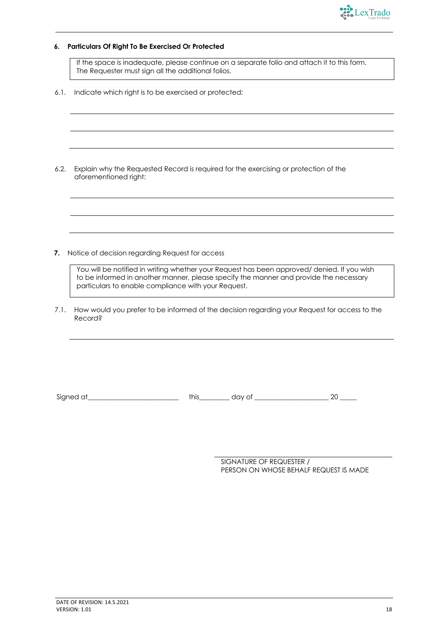

#### **6. Particulars Of Right To Be Exercised Or Protected**

If the space is inadequate, please continue on a separate folio and attach it to this form. The Requester must sign all the additional folios.

6.1. Indicate which right is to be exercised or protected:

6.2. Explain why the Requested Record is required for the exercising or protection of the aforementioned right:

**7.** Notice of decision regarding Request for access

You will be notified in writing whether your Request has been approved/ denied. If you wish to be informed in another manner, please specify the manner and provide the necessary particulars to enable compliance with your Request.

7.1. How would you prefer to be informed of the decision regarding your Request for access to the Record?

Signed at \_\_\_\_\_\_\_\_\_\_\_\_\_\_\_\_\_\_\_\_\_\_\_\_\_\_\_\_\_\_ this\_\_\_\_\_\_\_\_\_\_ day of \_\_\_\_\_\_\_\_\_\_\_\_\_\_\_\_\_\_\_\_\_\_\_\_\_\_\_ 20 \_\_\_\_\_\_

SIGNATURE OF REQUESTER / PERSON ON WHOSE BEHALF REQUEST IS MADE